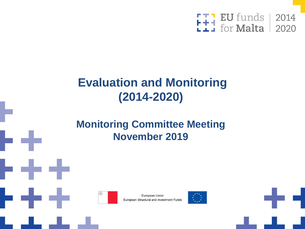

### **Evaluation and Monitoring (2014-2020)**

#### **Monitoring Committee Meeting November 2019**



European Union European Structural and Investment Funds



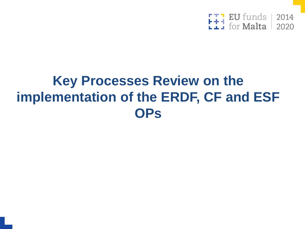

# **Key Processes Review on the implementation of the ERDF, CF and ESF OPs**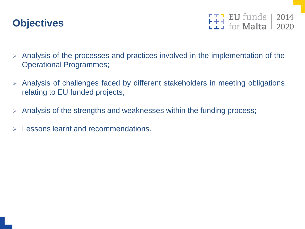#### **Objectives**

 $F + 1$  EU funds 2014

- ➢ Analysis of the processes and practices involved in the implementation of the Operational Programmes;
- ➢ Analysis of challenges faced by different stakeholders in meeting obligations relating to EU funded projects;
- $\triangleright$  Analysis of the strengths and weaknesses within the funding process;
- Lessons learnt and recommendations.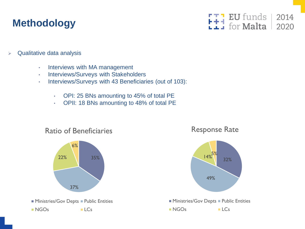#### **Methodology**



- $\triangleright$  Qualitative data analysis
	- Interviews with MA management
	- Interviews/Surveys with Stakeholders
	- Interviews/Surveys with 43 Beneficiaries (out of 103):
		- OPI: 25 BNs amounting to 45% of total PE
		- OPII: 18 BNs amounting to 48% of total PE



#### Response Rate

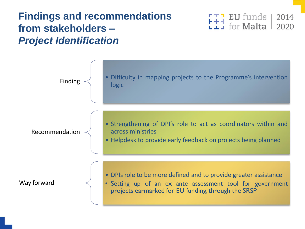#### **Findings and recommendations from stakeholders –** *Project Identification*



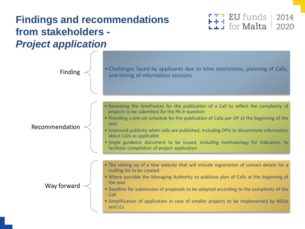#### **Findings and recommendations from stakeholders -** *Project application*

Recommendation

Way forward

Finding  $\leq$  • Challenges faced by applicants due to time restrictions, planning of Calls, and timing of information sessions

**EU** funds

for **Malta** 

2014

2020

- Reviewing the timeframes for the publication of a Call to reflect the complexity of projects to be submitted for the PA in question
- Providing a pre-set schedule for the publication of Calls per OP at the beginning of the year
- Improved publicity when calls are published, including DPIs to disseminate information about Calls as applicable
- Single guidance document to be issued, including methodology for indicators, to facilitate compilation of project application
- The setting up of a new website that will include registration of contact details for a mailing list to be created
- Where possible the Managing Authority to publicize plan of Calls at the beginning of the year
- Deadline for submission of proposals to be adapted according to the complexity of the Call
- Simplification of application in case of smaller projects to be implemented by NGOs and LCs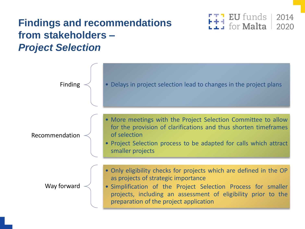#### **Findings and recommendations from stakeholders –** *Project Selection*



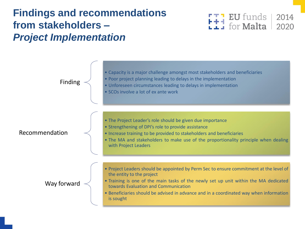#### **Findings and recommendations from stakeholders –** *Project Implementation*



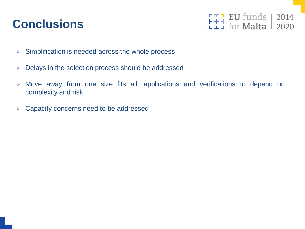### **Conclusions**



- ➢ Simplification is needed across the whole process
- ➢ Delays in the selection process should be addressed
- ➢ Move away from one size fits all: applications and verifications to depend on complexity and risk
- ➢ Capacity concerns need to be addressed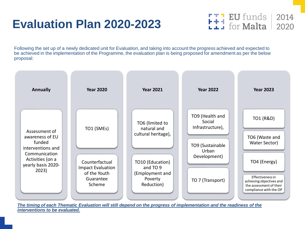### **Evaluation Plan 2020-2023**



Following the set up of a newly dedicated unit for Evaluation, and taking into account the progress achieved and expected to be achieved in the implementation of the Programme, the evaluation plan is being proposed for amendment as per the below proposal:

| <b>Annually</b>                                                                                                                     | <b>Year 2020</b>                                                                                | <b>Year 2021</b>                                                                                                                  | <b>Year 2022</b>                                                                                               | <b>Year 2023</b>                                                                                                                                                  |
|-------------------------------------------------------------------------------------------------------------------------------------|-------------------------------------------------------------------------------------------------|-----------------------------------------------------------------------------------------------------------------------------------|----------------------------------------------------------------------------------------------------------------|-------------------------------------------------------------------------------------------------------------------------------------------------------------------|
| Assessment of<br>awareness of EU<br>funded<br>interventions and<br>Communication<br>Activities (on a<br>yearly basis 2020-<br>2023) | TO1 (SMEs)<br>Counterfactual<br><b>Impact Evaluation</b><br>of the Youth<br>Guarantee<br>Scheme | TO6 (limited to<br>natural and<br>cultural heritage),<br>TO10 (Education)<br>and TO 9<br>(Employment and<br>Poverty<br>Reduction) | TO9 (Health and<br>Social<br>Infrastructure),<br>TO9 (Sustainable<br>Urban<br>Development)<br>TO 7 (Transport) | TO1 (R&D)<br>TO6 (Waste and<br>Water Sector)<br>TO4 (Energy)<br>Effectiveness in<br>achieving objectives and<br>the assessment of their<br>compliance with the OP |

*The timing of each Thematic Evaluation will still depend on the progress of implementation and the readiness of the interventions to be evaluated.*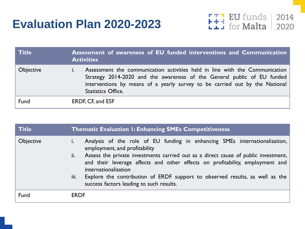### **Evaluation Plan 2020-2023**

 $\begin{array}{|c|c|c|c|}\n\hline\textbf{1} & \textbf{EU} & \textbf{funds} & \textbf{2014} \\
\hline\textbf{1} & \textbf{for Malta} & \textbf{2020}\n\hline \end{array}$ 

| <b>Title</b>     | Assessment of awareness of EU funded interventions and Communication<br><b>Activities</b>                                                                                                                                                                          |
|------------------|--------------------------------------------------------------------------------------------------------------------------------------------------------------------------------------------------------------------------------------------------------------------|
| <b>Objective</b> | Assessment the communication activities held in line with the Communication<br>Strategy 2014-2020 and the awareness of the General public of EU funded<br>interventions by means of a yearly survey to be carried out by the National<br><b>Statistics Office.</b> |
| Fund             | ERDF, CF, and ESF                                                                                                                                                                                                                                                  |

| <b>Title</b>     | <b>Thematic Evaluation I: Enhancing SMEs Competitiveness</b>                                                                                                                                                                                                                                                                                                                                                                                                            |
|------------------|-------------------------------------------------------------------------------------------------------------------------------------------------------------------------------------------------------------------------------------------------------------------------------------------------------------------------------------------------------------------------------------------------------------------------------------------------------------------------|
| <b>Objective</b> | Analysis of the role of EU funding in enhancing SMEs internationalisation,<br>$\mathbf{I}$ .<br>employment, and profitability<br>Assess the private investments carried out as a direct cause of public investment,<br>ii.<br>and their leverage affects and other effects on profitability, employment and<br>internationalisation<br>Explore the contribution of ERDF support to observed results, as well as the<br>iii.<br>success factors leading to such results. |
| Fund             | <b>ERDF</b>                                                                                                                                                                                                                                                                                                                                                                                                                                                             |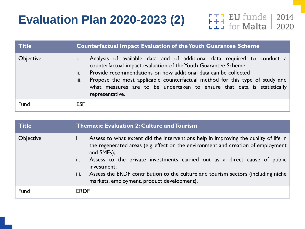## **Evaluation Plan 2020-2023 (2)**



| <b>Title</b>     | <b>Counterfactual Impact Evaluation of the Youth Guarantee Scheme</b>                                                                                                                                                                                                                                                                                                                                     |
|------------------|-----------------------------------------------------------------------------------------------------------------------------------------------------------------------------------------------------------------------------------------------------------------------------------------------------------------------------------------------------------------------------------------------------------|
| <b>Objective</b> | Analysis of available data and of additional data required to conduct a<br>counterfactual impact evaluation of the Youth Guarantee Scheme<br>Provide recommendations on how additional data can be collected<br>ii.<br>Propose the most applicable counterfactual method for this type of study and<br>iii.<br>what measures are to be undertaken to ensure that data is statistically<br>representative. |
| Fund             | <b>ESF</b>                                                                                                                                                                                                                                                                                                                                                                                                |

| <b>Title</b>     | <b>Thematic Evaluation 2: Culture and Tourism</b>                                                                                                                                                      |
|------------------|--------------------------------------------------------------------------------------------------------------------------------------------------------------------------------------------------------|
| <b>Objective</b> | Assess to what extent did the interventions help in improving the quality of life in<br>$\mathbf{L}$<br>the regenerated areas (e.g. effect on the environment and creation of employment<br>and SMEs); |
|                  | Assess to the private investments carried out as a direct cause of public<br>ii.<br>investment;                                                                                                        |
|                  | Assess the ERDF contribution to the culture and tourism sectors (including niche<br>iii.<br>markets, employment, product development).                                                                 |
| Fund             | <b>ERDF</b>                                                                                                                                                                                            |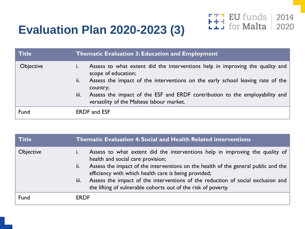## **Evaluation Plan 2020-2023 (3)**



| <b>Title</b>     | <b>Thematic Evaluation 3: Education and Employment</b>                                                                                                                                                                                                                                                                                        |
|------------------|-----------------------------------------------------------------------------------------------------------------------------------------------------------------------------------------------------------------------------------------------------------------------------------------------------------------------------------------------|
| <b>Objective</b> | Assess to what extent did the interventions help in improving the quality and<br>scope of education;<br>Assess the impact of the interventions on the early school leaving rate of the<br>ii.<br>country;<br>Assess the impact of the ESF and ERDF contribution to the employability and<br>iii.<br>versatility of the Maltese labour market. |
| Fund             | <b>ERDF</b> and <b>ESF</b>                                                                                                                                                                                                                                                                                                                    |

| <b>Title</b> | <b>Thematic Evaluation 4: Social and Health Related interventions</b>                                                                                                                                                                                                                                                                                                                                                              |
|--------------|------------------------------------------------------------------------------------------------------------------------------------------------------------------------------------------------------------------------------------------------------------------------------------------------------------------------------------------------------------------------------------------------------------------------------------|
| Objective    | Assess to what extent did the interventions help in improving the quality of<br>health and social care provision;<br>Assess the impact of the interventions on the health of the general public and the<br>ii.<br>efficiency with which health care is being provided;<br>Assess the impact of the interventions of the reduction of social exclusion and<br>iii.<br>the lifting of vulnerable cohorts out of the risk of poverty. |
| Fund         | <b>ERDF</b>                                                                                                                                                                                                                                                                                                                                                                                                                        |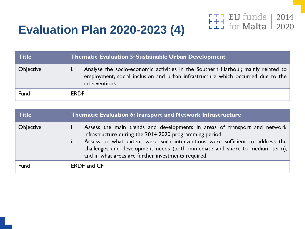## **Evaluation Plan 2020-2023 (4)**



| l Title          | <b>Thematic Evaluation 5: Sustainable Urban Development</b>                                                                                                                           |
|------------------|---------------------------------------------------------------------------------------------------------------------------------------------------------------------------------------|
| <b>Objective</b> | Analyse the socio-economic activities in the Southern Harbour, mainly related to<br>employment, social inclusion and urban infrastructure which occurred due to the<br>interventions. |
| Fund             | <b>ERDF</b>                                                                                                                                                                           |

| <b>Title</b>     | <b>Thematic Evaluation 6: Transport and Network Infrastructure</b>                                                                                                                                                                                                                                                                                                |
|------------------|-------------------------------------------------------------------------------------------------------------------------------------------------------------------------------------------------------------------------------------------------------------------------------------------------------------------------------------------------------------------|
| <b>Objective</b> | Assess the main trends and developments in areas of transport and network<br>infrastructure during the 2014-2020 programming period;<br>Assess to what extent were such interventions were sufficient to address the<br>ii.<br>challenges and development needs (both immediate and short to medium term),<br>and in what areas are further investments required. |
| Fund             | <b>ERDF</b> and CF                                                                                                                                                                                                                                                                                                                                                |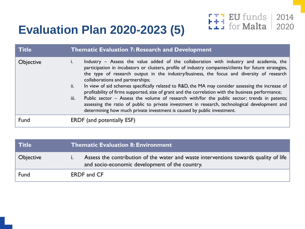## **Evaluation Plan 2020-2023 (5)**



| <b>Title</b>     | <b>Thematic Evaluation 7: Research and Development</b>                                                                                                                                                                                                                                                                                                                                                                                                                                                                                                                                                                                                                                                                                                                                                                                        |
|------------------|-----------------------------------------------------------------------------------------------------------------------------------------------------------------------------------------------------------------------------------------------------------------------------------------------------------------------------------------------------------------------------------------------------------------------------------------------------------------------------------------------------------------------------------------------------------------------------------------------------------------------------------------------------------------------------------------------------------------------------------------------------------------------------------------------------------------------------------------------|
| <b>Objective</b> | Industry – Assess the value added of the collaboration with industry and academia, the<br>I.<br>participation in incubators or clusters, profile of industry companies/clients for future strategies,<br>the type of research output in the industry/business, the focus and diversity of research<br>collaborations and partnerships;<br>In view of aid schemes specifically related to R&D, the MA may consider assessing the increase of<br>ii.<br>profitability of firms supported, size of grant and the correlation with the business performance;<br>Public sector - Assess the volume of research with/for the public sector; trends in patents;<br>iii.<br>assessing the ratio of public to private investment in research, technological development and<br>determining how much private investment is caused by public investment. |
| Fund             | <b>ERDF</b> (and potentially ESF)                                                                                                                                                                                                                                                                                                                                                                                                                                                                                                                                                                                                                                                                                                                                                                                                             |

| <b>Title</b>     | Thematic Evaluation 8: Environment                                                                                                     |
|------------------|----------------------------------------------------------------------------------------------------------------------------------------|
| <b>Objective</b> | Assess the contribution of the water and waste interventions towards quality of life<br>and socio-economic development of the country. |
| Fund             | <b>ERDF</b> and CF                                                                                                                     |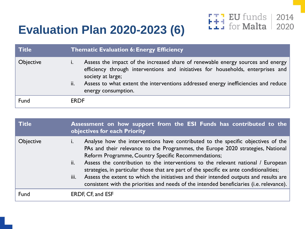## **Evaluation Plan 2020-2023 (6)**



| <b>Title</b>     | <b>Thematic Evaluation 6: Energy Efficiency</b>                                                                                                                                                                                                                                                              |
|------------------|--------------------------------------------------------------------------------------------------------------------------------------------------------------------------------------------------------------------------------------------------------------------------------------------------------------|
| <b>Objective</b> | Assess the impact of the increased share of renewable energy sources and energy<br>efficiency through interventions and initiatives for households, enterprises and<br>society at large;<br>Assess to what extent the interventions addressed energy inefficiencies and reduce<br>ii.<br>energy consumption. |
| Fund             | <b>ERDF</b>                                                                                                                                                                                                                                                                                                  |

| <b>Title</b>     | Assessment on how support from the ESI Funds has contributed to the<br>objectives for each Priority                                                                                                                                                                                                                                                                                                                                                                                                                                                                                                                             |  |  |  |  |
|------------------|---------------------------------------------------------------------------------------------------------------------------------------------------------------------------------------------------------------------------------------------------------------------------------------------------------------------------------------------------------------------------------------------------------------------------------------------------------------------------------------------------------------------------------------------------------------------------------------------------------------------------------|--|--|--|--|
| <b>Objective</b> | Analyse how the interventions have contributed to the specific objectives of the<br>$\mathbf{I}$ .<br>PAs and their relevance to the Programmes, the Europe 2020 strategies, National<br>Reform Programme, Country Specific Recommendations;<br>Assess the contribution to the interventions to the relevant national / European<br>ii.<br>strategies, in particular those that are part of the specific ex ante conditionalities;<br>Assess the extent to which the initiatives and their intended outputs and results are<br>iii.<br>consistent with the priorities and needs of the intended beneficiaries (i.e. relevance). |  |  |  |  |
| Fund             | ERDF, CF, and ESF                                                                                                                                                                                                                                                                                                                                                                                                                                                                                                                                                                                                               |  |  |  |  |